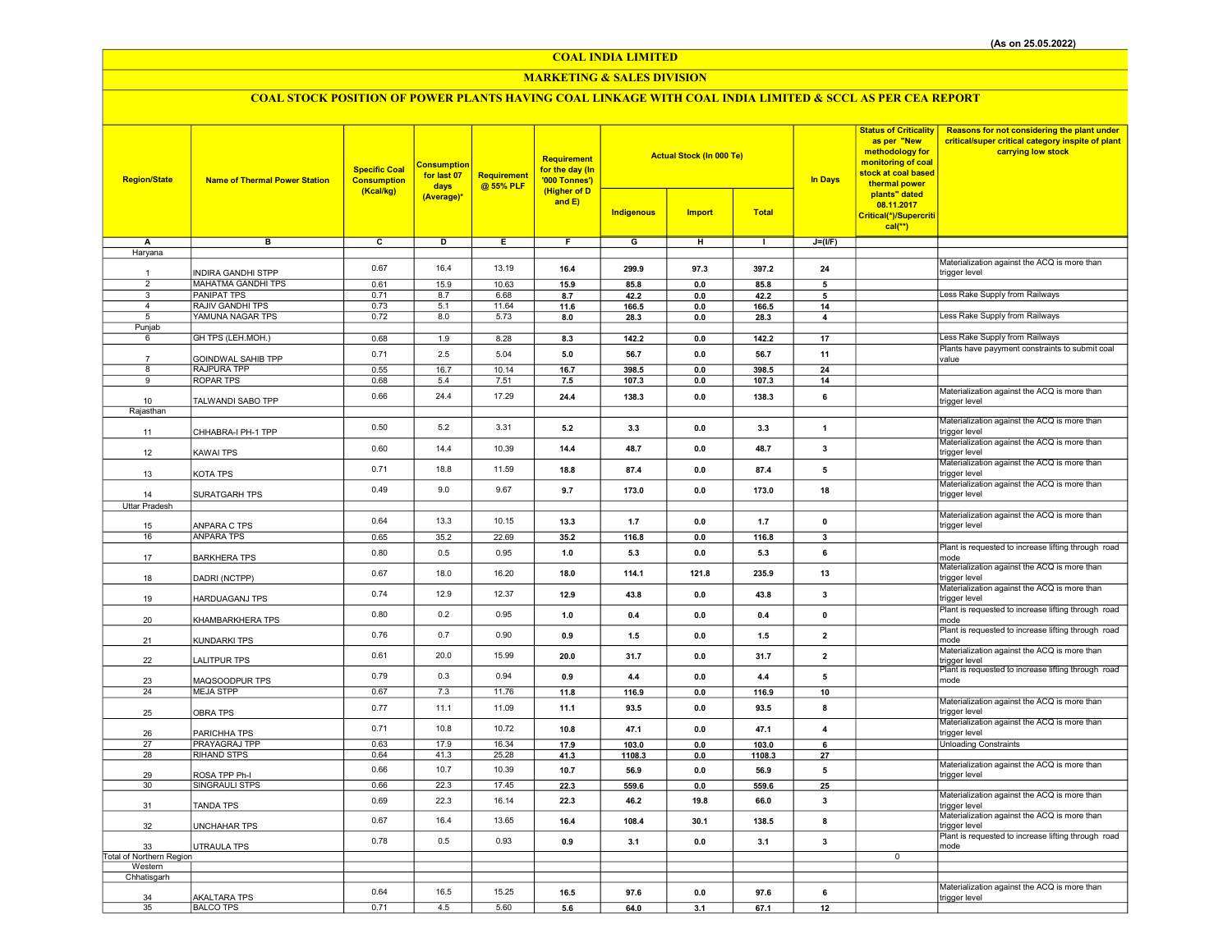COAL INDIA LIMITED

## MARKETING & SALES DIVISION

# COAL STOCK POSITION OF POWER PLANTS HAVING COAL LINKAGE WITH COAL INDIA LIMITED & SCCL AS PER CEA REPORT

| <b>Region/State</b>      | <b>Name of Thermal Power Station</b>    | <b>Specific Coal</b><br><b>Consumption</b><br>(Kcal/kg) | <b>Consumption</b><br>for last 07<br>days<br>(Average)* | Requirement<br>@ 55% PLF | <b>Requirement</b><br>for the day (In<br>'000 Tonnes')<br>(Higher of D<br>and $E$ ) | <b>Actual Stock (In 000 Te)</b><br><b>Indigenous</b><br><b>Import</b><br><b>Total</b> |         | <b>Status of Criticality</b><br>as per "New<br>methodology for<br>monitoring of coal<br>stock at coal based<br><b>In Days</b><br>thermal power<br>plants" dated<br>08.11.2017<br>Critical(*)/Supercriti |                         | Reasons for not considering the plant under<br>critical/super critical category inspite of plant<br>carrying low stock |                                                               |
|--------------------------|-----------------------------------------|---------------------------------------------------------|---------------------------------------------------------|--------------------------|-------------------------------------------------------------------------------------|---------------------------------------------------------------------------------------|---------|---------------------------------------------------------------------------------------------------------------------------------------------------------------------------------------------------------|-------------------------|------------------------------------------------------------------------------------------------------------------------|---------------------------------------------------------------|
|                          |                                         |                                                         |                                                         |                          |                                                                                     |                                                                                       |         |                                                                                                                                                                                                         |                         | $cal$ <sup>**</sup> )                                                                                                  |                                                               |
| Α                        | в                                       | $\overline{c}$                                          | D                                                       | Ε                        | F                                                                                   | G                                                                                     | H       | $\top$                                                                                                                                                                                                  | $J=(VF)$                |                                                                                                                        |                                                               |
| Haryana                  |                                         |                                                         |                                                         |                          |                                                                                     |                                                                                       |         |                                                                                                                                                                                                         |                         |                                                                                                                        | Materialization against the ACQ is more than                  |
|                          | <b>INDIRA GANDHI STPP</b>               | 0.67                                                    | 16.4                                                    | 13.19                    | 16.4                                                                                | 299.9                                                                                 | 97.3    | 397.2                                                                                                                                                                                                   | 24                      |                                                                                                                        | trigger level                                                 |
| $\overline{2}$           | <b>MAHATMA GANDHI TPS</b>               | 0.61                                                    | 15.9                                                    | 10.63                    | 15.9                                                                                | 85.8                                                                                  | 0.0     | 85.8                                                                                                                                                                                                    | 5                       |                                                                                                                        |                                                               |
| 3                        | PANIPAT TPS                             | 0.71                                                    | 8.7                                                     | 6.68                     | 8.7                                                                                 | 42.2                                                                                  | 0.0     | 42.2                                                                                                                                                                                                    | 5                       |                                                                                                                        | Less Rake Supply from Railways                                |
| $\overline{4}$           | RAJIV GANDHI TPS                        | 0.73                                                    | 5.1                                                     | 11.64                    | 11.6                                                                                | 166.5                                                                                 | 0.0     | 166.5                                                                                                                                                                                                   | 14                      |                                                                                                                        |                                                               |
| $5\overline{)}$          | YAMUNA NAGAR TPS                        | 0.72                                                    | 8.0                                                     | 5.73                     | 8.0                                                                                 | 28.3                                                                                  | $0.0\,$ | 28.3                                                                                                                                                                                                    | 4                       |                                                                                                                        | Less Rake Supply from Railways                                |
| Punjab                   |                                         |                                                         |                                                         |                          |                                                                                     |                                                                                       |         |                                                                                                                                                                                                         |                         |                                                                                                                        |                                                               |
| 6                        | GH TPS (LEH.MOH.)                       | 0.68                                                    | 1.9                                                     | 8.28                     | 8.3                                                                                 | 142.2                                                                                 | 0.0     | 142.2                                                                                                                                                                                                   | 17                      |                                                                                                                        | Less Rake Supply from Railways                                |
| $\overline{7}$           | GOINDWAL SAHIB TPP                      | 0.71                                                    | 2.5                                                     | 5.04                     | 5.0                                                                                 | 56.7                                                                                  | 0.0     | 56.7                                                                                                                                                                                                    | 11                      |                                                                                                                        | Plants have payyment constraints to submit coal<br>value      |
| 8                        | RAJPURA TPP                             | 0.55                                                    | 16.7                                                    | 10.14                    | 16.7                                                                                | 398.5                                                                                 | 0.0     | 398.5                                                                                                                                                                                                   | 24                      |                                                                                                                        |                                                               |
| 9                        | <b>ROPAR TPS</b>                        | 0.68                                                    | 5.4                                                     | 7.51                     | 7.5                                                                                 | 107.3                                                                                 | $0.0\,$ | 107.3                                                                                                                                                                                                   | 14                      |                                                                                                                        |                                                               |
|                          |                                         | 0.66                                                    | 24.4                                                    | 17.29                    | 24.4                                                                                | 138.3                                                                                 | 0.0     | 138.3                                                                                                                                                                                                   | 6                       |                                                                                                                        | Materialization against the ACQ is more than                  |
| 10                       | TALWANDI SABO TPP                       |                                                         |                                                         |                          |                                                                                     |                                                                                       |         |                                                                                                                                                                                                         |                         |                                                                                                                        | trigger level                                                 |
| Rajasthan                |                                         |                                                         |                                                         |                          |                                                                                     |                                                                                       |         |                                                                                                                                                                                                         |                         |                                                                                                                        | Materialization against the ACQ is more than                  |
| 11                       | CHHABRA-I PH-1 TPP                      | 0.50                                                    | 5.2                                                     | 3.31                     | 5.2                                                                                 | 3.3                                                                                   | 0.0     | 3.3                                                                                                                                                                                                     | $\mathbf{1}$            |                                                                                                                        | trigger level                                                 |
|                          |                                         |                                                         |                                                         |                          |                                                                                     |                                                                                       |         |                                                                                                                                                                                                         |                         |                                                                                                                        | Materialization against the ACQ is more than                  |
| 12                       | KAWAI TPS                               | 0.60                                                    | 14.4                                                    | 10.39                    | 14.4                                                                                | 48.7                                                                                  | 0.0     | 48.7                                                                                                                                                                                                    | 3                       |                                                                                                                        | trigger level                                                 |
|                          |                                         |                                                         |                                                         |                          |                                                                                     |                                                                                       |         |                                                                                                                                                                                                         |                         |                                                                                                                        | Materialization against the ACQ is more than                  |
| 13                       | KOTA TPS                                | 0.71                                                    | 18.8                                                    | 11.59                    | 18.8                                                                                | 87.4                                                                                  | 0.0     | 87.4                                                                                                                                                                                                    | 5                       |                                                                                                                        | trigger level                                                 |
|                          |                                         | 0.49                                                    | 9.0                                                     | 9.67                     | 9.7                                                                                 | 173.0                                                                                 | 0.0     | 173.0                                                                                                                                                                                                   | 18                      |                                                                                                                        | Materialization against the ACQ is more than                  |
| 14                       | SURATGARH TPS                           |                                                         |                                                         |                          |                                                                                     |                                                                                       |         |                                                                                                                                                                                                         |                         |                                                                                                                        | trigger level                                                 |
| <b>Uttar Pradesh</b>     |                                         |                                                         |                                                         |                          |                                                                                     |                                                                                       |         |                                                                                                                                                                                                         |                         |                                                                                                                        | Materialization against the ACQ is more than                  |
| 15                       | ANPARA C TPS                            | 0.64                                                    | 13.3                                                    | 10.15                    | 13.3                                                                                | 1.7                                                                                   | 0.0     | 1.7                                                                                                                                                                                                     | $\pmb{0}$               |                                                                                                                        | trigger level                                                 |
| 16                       | <b>ANPARA TPS</b>                       | 0.65                                                    | 35.2                                                    | 22.69                    | 35.2                                                                                | 116.8                                                                                 | 0.0     | 116.8                                                                                                                                                                                                   | 3                       |                                                                                                                        |                                                               |
|                          |                                         | 0.80                                                    | 0.5                                                     | 0.95                     | 1.0                                                                                 | 5.3                                                                                   | 0.0     | 5.3                                                                                                                                                                                                     | 6                       |                                                                                                                        | Plant is requested to increase lifting through road           |
| 17                       | <b>BARKHERA TPS</b>                     |                                                         |                                                         |                          |                                                                                     |                                                                                       |         |                                                                                                                                                                                                         |                         |                                                                                                                        | mode                                                          |
| 18                       | DADRI (NCTPP)                           | 0.67                                                    | 18.0                                                    | 16.20                    | 18.0                                                                                | 114.1                                                                                 | 121.8   | 235.9                                                                                                                                                                                                   | 13                      |                                                                                                                        | Materialization against the ACQ is more than<br>trigger level |
|                          |                                         |                                                         |                                                         |                          |                                                                                     |                                                                                       |         |                                                                                                                                                                                                         |                         |                                                                                                                        | Materialization against the ACQ is more than                  |
| 19                       | HARDUAGANJ TPS                          | 0.74                                                    | 12.9                                                    | 12.37                    | 12.9                                                                                | 43.8                                                                                  | 0.0     | 43.8                                                                                                                                                                                                    | $\overline{\mathbf{3}}$ |                                                                                                                        | trigger level                                                 |
|                          |                                         |                                                         |                                                         |                          |                                                                                     |                                                                                       |         |                                                                                                                                                                                                         |                         |                                                                                                                        | Plant is requested to increase lifting through road           |
| 20                       | KHAMBARKHERA TPS                        | 0.80                                                    | 0.2                                                     | 0.95                     | 1.0                                                                                 | 0.4                                                                                   | 0.0     | 0.4                                                                                                                                                                                                     | $\mathbf{0}$            |                                                                                                                        | mode                                                          |
|                          |                                         | 0.76                                                    | 0.7                                                     | 0.90                     | 0.9                                                                                 | 1.5                                                                                   | 0.0     | 1.5                                                                                                                                                                                                     | $\overline{2}$          |                                                                                                                        | Plant is requested to increase lifting through road           |
| 21                       | KUNDARKI TPS                            |                                                         |                                                         |                          |                                                                                     |                                                                                       |         |                                                                                                                                                                                                         |                         |                                                                                                                        | mode<br>Materialization against the ACQ is more than          |
| 22                       | LALITPUR TPS                            | 0.61                                                    | 20.0                                                    | 15.99                    | 20.0                                                                                | 31.7                                                                                  | 0.0     | 31.7                                                                                                                                                                                                    | $\overline{2}$          |                                                                                                                        | trigger level                                                 |
|                          |                                         | 0.79                                                    | 0.3                                                     | 0.94                     |                                                                                     |                                                                                       | 0.0     |                                                                                                                                                                                                         | 5                       |                                                                                                                        | Plant is requested to increase lifting through road           |
| 23                       | MAQSOODPUR TPS                          |                                                         |                                                         |                          | 0.9                                                                                 | 4.4                                                                                   |         | 4.4                                                                                                                                                                                                     |                         |                                                                                                                        | mode                                                          |
| 24                       | <b>MEJA STPP</b>                        | 0.67                                                    | 7.3                                                     | 11.76                    | 11.8                                                                                | 116.9                                                                                 | $0.0\,$ | 116.9                                                                                                                                                                                                   | 10                      |                                                                                                                        |                                                               |
| 25                       | <b>OBRA TPS</b>                         | 0.77                                                    | 11.1                                                    | 11.09                    | 11.1                                                                                | 93.5                                                                                  | 0.0     | 93.5                                                                                                                                                                                                    | 8                       |                                                                                                                        | Materialization against the ACQ is more than<br>trigger level |
|                          |                                         |                                                         |                                                         |                          |                                                                                     |                                                                                       |         |                                                                                                                                                                                                         |                         |                                                                                                                        | Materialization against the ACQ is more than                  |
| 26                       | PARICHHA TPS                            | 0.71                                                    | 10.8                                                    | 10.72                    | 10.8                                                                                | 47.1                                                                                  | 0.0     | 47.1                                                                                                                                                                                                    | 4                       |                                                                                                                        | trigger level                                                 |
| 27                       | PRAYAGRAJ TPP                           | 0.63                                                    | 17.9                                                    | 16.34                    | 17.9                                                                                | 103.0                                                                                 | 0.0     | 103.0                                                                                                                                                                                                   | 6                       |                                                                                                                        | <b>Unloading Constraints</b>                                  |
| 28                       | <b>RIHAND STPS</b>                      | 0.64                                                    | 41.3                                                    | 25.28                    | 41.3                                                                                | 1108.3                                                                                | 0.0     | 1108.3                                                                                                                                                                                                  | 27                      |                                                                                                                        |                                                               |
|                          |                                         | 0.66                                                    | 10.7                                                    | 10.39                    | 10.7                                                                                | 56.9                                                                                  | 0.0     | 56.9                                                                                                                                                                                                    | 5                       |                                                                                                                        | Materialization against the ACQ is more than                  |
| 29<br>30                 | ROSA TPP Ph-I<br>SINGRAULI STPS         | 0.66                                                    | 22.3                                                    | 17.45                    | 22.3                                                                                | 559.6                                                                                 | 0.0     | 559.6                                                                                                                                                                                                   | 25                      |                                                                                                                        | trigger level                                                 |
|                          |                                         |                                                         |                                                         |                          |                                                                                     |                                                                                       |         |                                                                                                                                                                                                         |                         |                                                                                                                        | Materialization against the ACQ is more than                  |
| 31                       | <b>TANDA TPS</b>                        | 0.69                                                    | 22.3                                                    | 16.14                    | 22.3                                                                                | 46.2                                                                                  | 19.8    | 66.0                                                                                                                                                                                                    | 3                       |                                                                                                                        | trigger level                                                 |
|                          |                                         | 0.67                                                    | 16.4                                                    | 13.65                    | 16.4                                                                                | 108.4                                                                                 | 30.1    | 138.5                                                                                                                                                                                                   | 8                       |                                                                                                                        | Materialization against the ACQ is more than                  |
| 32                       | UNCHAHAR TPS                            |                                                         |                                                         |                          |                                                                                     |                                                                                       |         |                                                                                                                                                                                                         |                         |                                                                                                                        | trigger level                                                 |
| 33                       | UTRAULA TPS                             | 0.78                                                    | 0.5                                                     | 0.93                     | 0.9                                                                                 | 3.1                                                                                   | 0.0     | 3.1                                                                                                                                                                                                     | 3                       |                                                                                                                        | Plant is requested to increase lifting through road<br>mode   |
| Total of Northern Region |                                         |                                                         |                                                         |                          |                                                                                     |                                                                                       |         |                                                                                                                                                                                                         |                         | $\overline{0}$                                                                                                         |                                                               |
| Western                  |                                         |                                                         |                                                         |                          |                                                                                     |                                                                                       |         |                                                                                                                                                                                                         |                         |                                                                                                                        |                                                               |
| Chhatisgarh              |                                         |                                                         |                                                         |                          |                                                                                     |                                                                                       |         |                                                                                                                                                                                                         |                         |                                                                                                                        |                                                               |
|                          |                                         | 0.64                                                    | 16.5                                                    | 15.25                    | 16.5                                                                                | 97.6                                                                                  | 0.0     | 97.6                                                                                                                                                                                                    | 6                       |                                                                                                                        | Materialization against the ACQ is more than                  |
| 34<br>35                 | <b>AKALTARA TPS</b><br><b>BALCO TPS</b> | 0.71                                                    | 4.5                                                     | 5.60                     | 5.6                                                                                 | 64.0                                                                                  | 3.1     | 67.1                                                                                                                                                                                                    | 12                      |                                                                                                                        | trigger level                                                 |
|                          |                                         |                                                         |                                                         |                          |                                                                                     |                                                                                       |         |                                                                                                                                                                                                         |                         |                                                                                                                        |                                                               |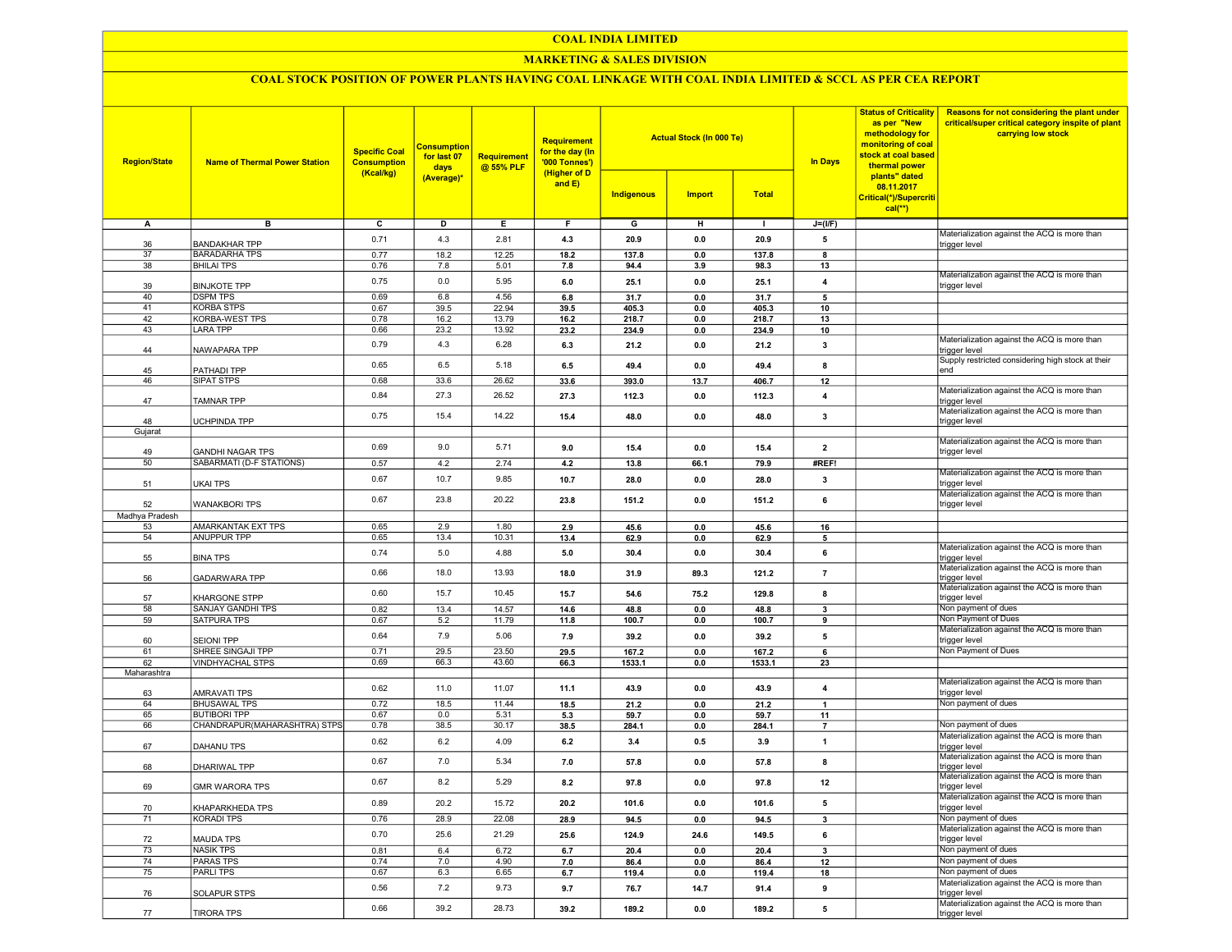## COAL INDIA LIMITED

## MARKETING & SALES DIVISION

# COAL STOCK POSITION OF POWER PLANTS HAVING COAL LINKAGE WITH COAL INDIA LIMITED & SCCL AS PER CEA REPORT

| <b>Region/State</b> | <b>Name of Thermal Power Station</b>       | <b>Specific Coal</b><br><b>Consumption</b><br>(Kcal/kg) | <b>Consumption</b><br>for last 07<br>days<br>(Average)* | Requirement<br>@ 55% PLF | Requirement<br>for the day (In<br>'000 Tonnes')<br>(Higher of D<br>and $E$ ) | Indigenous     | <b>Actual Stock (In 000 Te)</b><br><b>Import</b> | <b>Total</b>   | <b>In Days</b> | <b>Status of Criticality</b><br>as per "New<br>methodology for<br>monitoring of coal<br>stock at coal based<br>thermal power<br>plants" dated<br>08.11.2017<br>Critical(*)/Supercriti<br>$cal$ <sup>**</sup> ) | Reasons for not considering the plant under<br>critical/super critical category inspite of plant<br>carrying low stock |
|---------------------|--------------------------------------------|---------------------------------------------------------|---------------------------------------------------------|--------------------------|------------------------------------------------------------------------------|----------------|--------------------------------------------------|----------------|----------------|----------------------------------------------------------------------------------------------------------------------------------------------------------------------------------------------------------------|------------------------------------------------------------------------------------------------------------------------|
| А                   | в                                          | c                                                       | D                                                       | Е.                       | F.                                                                           | G              | н                                                | л.             | $J=(I/F)$      |                                                                                                                                                                                                                |                                                                                                                        |
| 36                  | <b>BANDAKHAR TPP</b>                       | 0.71                                                    | 4.3                                                     | 2.81                     | 4.3                                                                          | 20.9           | 0.0                                              | 20.9           | 5              |                                                                                                                                                                                                                | Materialization against the ACQ is more than<br>trigger level                                                          |
| 37                  | <b>BARADARHA TPS</b>                       | 0.77                                                    | 18.2                                                    | 12.25                    | 18.2                                                                         | 137.8          | 0.0                                              | 137.8          | 8              |                                                                                                                                                                                                                |                                                                                                                        |
| 38                  | <b>BHILAI TPS</b>                          | 0.76                                                    | 7.8                                                     | 5.01                     | 7.8                                                                          | 94.4           | 3.9                                              | 98.3           | 13             |                                                                                                                                                                                                                |                                                                                                                        |
|                     |                                            | 0.75                                                    | 0.0                                                     | 5.95                     | 6.0                                                                          | 25.1           | 0.0                                              | 25.1           |                |                                                                                                                                                                                                                | Materialization against the ACQ is more than                                                                           |
| 39                  | <b>BINJKOTE TPP</b>                        |                                                         |                                                         |                          |                                                                              |                |                                                  |                | 4              |                                                                                                                                                                                                                | trigger level                                                                                                          |
| 40                  | <b>DSPM TPS</b>                            | 0.69                                                    | 6.8                                                     | 4.56                     | 6.8                                                                          | 31.7           | 0.0                                              | 31.7           | 5              |                                                                                                                                                                                                                |                                                                                                                        |
| 41<br>42            | <b>KORBA STPS</b><br><b>KORBA-WEST TPS</b> | 0.67<br>0.78                                            | 39.5<br>16.2                                            | 22.94<br>13.79           | 39.5                                                                         | 405.3          | 0.0                                              | 405.3          | 10             |                                                                                                                                                                                                                |                                                                                                                        |
| 43                  | LARA TPP                                   | 0.66                                                    | 23.2                                                    | 13.92                    | 16.2<br>23.2                                                                 | 218.7<br>234.9 | 0.0<br>0.0                                       | 218.7<br>234.9 | 13<br>10       |                                                                                                                                                                                                                |                                                                                                                        |
|                     |                                            |                                                         |                                                         |                          |                                                                              |                |                                                  |                |                |                                                                                                                                                                                                                | Materialization against the ACQ is more than                                                                           |
| 44                  | NAWAPARA TPP                               | 0.79                                                    | 4.3                                                     | 6.28                     | 6.3                                                                          | 21.2           | 0.0                                              | 21.2           | 3              |                                                                                                                                                                                                                | trigger level                                                                                                          |
| 45                  | PATHADI TPP                                | 0.65                                                    | 6.5                                                     | 5.18                     | 6.5                                                                          | 49.4           | 0.0                                              | 49.4           | 8              |                                                                                                                                                                                                                | Supply restricted considering high stock at their<br>end                                                               |
| 46                  | <b>SIPAT STPS</b>                          | 0.68                                                    | 33.6                                                    | 26.62                    | 33.6                                                                         | 393.0          | 13.7                                             | 406.7          | 12             |                                                                                                                                                                                                                |                                                                                                                        |
|                     |                                            | 0.84                                                    | 27.3                                                    | 26.52                    | 27.3                                                                         | 112.3          | 0.0                                              | 112.3          | 4              |                                                                                                                                                                                                                | Materialization against the ACQ is more than                                                                           |
| 47                  | TAMNAR TPP                                 |                                                         |                                                         |                          |                                                                              |                |                                                  |                |                |                                                                                                                                                                                                                | trigger level                                                                                                          |
| 48                  | UCHPINDA TPP                               | 0.75                                                    | 15.4                                                    | 14.22                    | 15.4                                                                         | 48.0           | 0.0                                              | 48.0           | 3              |                                                                                                                                                                                                                | Materialization against the ACQ is more than<br>trigger level                                                          |
| Gujarat             |                                            |                                                         |                                                         |                          |                                                                              |                |                                                  |                |                |                                                                                                                                                                                                                |                                                                                                                        |
|                     |                                            |                                                         |                                                         |                          |                                                                              |                |                                                  |                |                |                                                                                                                                                                                                                | Materialization against the ACQ is more than                                                                           |
| 49                  | <b>GANDHI NAGAR TPS</b>                    | 0.69                                                    | 9.0                                                     | 5.71                     | 9.0                                                                          | 15.4           | 0.0                                              | 15.4           | $\overline{2}$ |                                                                                                                                                                                                                | trigger level                                                                                                          |
| 50                  | SABARMATI (D-F STATIONS)                   | 0.57                                                    | 4.2                                                     | 2.74                     | 4.2                                                                          | 13.8           | 66.1                                             | 79.9           | #REF!          |                                                                                                                                                                                                                |                                                                                                                        |
|                     |                                            | 0.67                                                    | 10.7                                                    | 9.85                     | 10.7                                                                         | 28.0           | 0.0                                              | 28.0           | 3              |                                                                                                                                                                                                                | Materialization against the ACQ is more than<br>trigger level                                                          |
| 51                  | <b>UKAI TPS</b>                            |                                                         |                                                         |                          |                                                                              |                |                                                  |                |                |                                                                                                                                                                                                                | Materialization against the ACQ is more than                                                                           |
| 52                  | <b>WANAKBORI TPS</b>                       | 0.67                                                    | 23.8                                                    | 20.22                    | 23.8                                                                         | 151.2          | 0.0                                              | 151.2          | 6              |                                                                                                                                                                                                                | trigger level                                                                                                          |
| Madhya Pradesh      |                                            |                                                         |                                                         |                          |                                                                              |                |                                                  |                |                |                                                                                                                                                                                                                |                                                                                                                        |
| 53                  | <b>AMARKANTAK EXT TPS</b>                  | 0.65                                                    | 2.9                                                     | 1.80                     | 2.9                                                                          | 45.6           | 0.0                                              | 45.6           | 16             |                                                                                                                                                                                                                |                                                                                                                        |
| 54                  | <b>ANUPPUR TPP</b>                         | 0.65                                                    | 13.4                                                    | 10.31                    | 13.4                                                                         | 62.9           | 0.0                                              | 62.9           | 5              |                                                                                                                                                                                                                |                                                                                                                        |
| 55                  | <b>BINA TPS</b>                            | 0.74                                                    | 5.0                                                     | 4.88                     | 5.0                                                                          | 30.4           | 0.0                                              | 30.4           | 6              |                                                                                                                                                                                                                | Materialization against the ACQ is more than<br>trigger level                                                          |
| 56                  | <b>GADARWARA TPP</b>                       | 0.66                                                    | 18.0                                                    | 13.93                    | 18.0                                                                         | 31.9           | 89.3                                             | 121.2          | $\overline{7}$ |                                                                                                                                                                                                                | Materialization against the ACQ is more than<br>trigger level                                                          |
|                     |                                            | 0.60                                                    | 15.7                                                    | 10.45                    | 15.7                                                                         | 54.6           | 75.2                                             | 129.8          | 8              |                                                                                                                                                                                                                | Materialization against the ACQ is more than<br>trigger level                                                          |
| 57<br>58            | KHARGONE STPP<br>SANJAY GANDHI TPS         | 0.82                                                    | 13.4                                                    | 14.57                    | 14.6                                                                         | 48.8           | 0.0                                              | 48.8           | 3              |                                                                                                                                                                                                                | Non payment of dues                                                                                                    |
| 59                  | SATPURA TPS                                | 0.67                                                    | 5.2                                                     | 11.79                    | 11.8                                                                         | 100.7          | 0.0                                              | 100.7          | 9              |                                                                                                                                                                                                                | Non Payment of Dues                                                                                                    |
|                     |                                            |                                                         |                                                         | 5.06                     |                                                                              |                |                                                  |                |                |                                                                                                                                                                                                                | Materialization against the ACQ is more than                                                                           |
| 60                  | <b>SEIONI TPP</b>                          | 0.64                                                    | 7.9                                                     |                          | 7.9                                                                          | 39.2           | 0.0                                              | 39.2           | 5              |                                                                                                                                                                                                                | trigger level                                                                                                          |
| 61                  | SHREE SINGAJI TPP                          | 0.71                                                    | 29.5                                                    | 23.50                    | 29.5                                                                         | 167.2          | 0.0                                              | 167.2          | 6              |                                                                                                                                                                                                                | Non Payment of Dues                                                                                                    |
| 62                  | <b>VINDHYACHAL STPS</b>                    | 0.69                                                    | 66.3                                                    | 43.60                    | 66.3                                                                         | 1533.1         | 0.0                                              | 1533.1         | 23             |                                                                                                                                                                                                                |                                                                                                                        |
| Maharashtra         |                                            |                                                         |                                                         |                          |                                                                              |                |                                                  |                |                |                                                                                                                                                                                                                | Materialization against the ACQ is more than                                                                           |
| 63                  | <b>AMRAVATI TPS</b>                        | 0.62                                                    | 11.0                                                    | 11.07                    | 11.1                                                                         | 43.9           | 0.0                                              | 43.9           | $\overline{4}$ |                                                                                                                                                                                                                | trigger level                                                                                                          |
| 64                  | <b>BHUSAWAL TPS</b>                        | 0.72                                                    | 18.5                                                    | 11.44                    | 18.5                                                                         | 21.2           | 0.0                                              | 21.2           | $\mathbf{1}$   |                                                                                                                                                                                                                | Non payment of dues                                                                                                    |
| 65                  | <b>BUTIBORI TPP</b>                        | 0.67                                                    | 0.0                                                     | 5.31                     | 5.3                                                                          | 59.7           | 0.0                                              | 59.7           | 11             |                                                                                                                                                                                                                |                                                                                                                        |
| 66                  | CHANDRAPUR(MAHARASHTRA) STPS               | 0.78                                                    | 38.5                                                    | 30.17                    | 38.5                                                                         | 284.1          | 0.0                                              | 284.1          | $\overline{7}$ |                                                                                                                                                                                                                | Non payment of dues<br>Materialization against the ACQ is more than                                                    |
| 67                  | <b>DAHANU TPS</b>                          | 0.62                                                    | 6.2                                                     | 4.09                     | 6.2                                                                          | 3.4            | 0.5                                              | 3.9            | $\overline{1}$ |                                                                                                                                                                                                                | trigger level                                                                                                          |
| 68                  | DHARIWAL TPP                               | 0.67                                                    | 7.0                                                     | 5.34                     | 7.0                                                                          | 57.8           | 0.0                                              | 57.8           | 8              |                                                                                                                                                                                                                | Materialization against the ACQ is more than<br>trigger level<br>Materialization against the ACQ is more than          |
| 69                  | <b>GMR WARORA TPS</b>                      | 0.67                                                    | 8.2                                                     | 5.29                     | 8.2                                                                          | 97.8           | 0.0                                              | 97.8           | 12             |                                                                                                                                                                                                                | trigger level                                                                                                          |
| 70                  | KHAPARKHEDA TPS                            | 0.89                                                    | 20.2                                                    | 15.72                    | 20.2                                                                         | 101.6          | 0.0                                              | 101.6          | 5              |                                                                                                                                                                                                                | Materialization against the ACQ is more than<br>trigger level                                                          |
| 71                  | <b>KORADI TPS</b>                          | 0.76                                                    | 28.9                                                    | 22.08                    | 28.9                                                                         | 94.5           | $0.0\,$                                          | 94.5           | 3              |                                                                                                                                                                                                                | Non payment of dues                                                                                                    |
|                     |                                            |                                                         |                                                         |                          |                                                                              |                |                                                  |                |                |                                                                                                                                                                                                                | Materialization against the ACQ is more than                                                                           |
| 72                  | <b>MAUDA TPS</b>                           | 0.70                                                    | 25.6                                                    | 21.29                    | 25.6                                                                         | 124.9          | 24.6                                             | 149.5          | 6              |                                                                                                                                                                                                                | trigger level                                                                                                          |
| 73                  | <b>NASIK TPS</b>                           | 0.81                                                    | 6.4                                                     | 6.72                     | 6.7                                                                          | 20.4           | 0.0                                              | 20.4           | 3              |                                                                                                                                                                                                                | Non payment of dues                                                                                                    |
| 74                  | <b>PARAS TPS</b>                           | 0.74                                                    | 7.0                                                     | 4.90                     | 7.0                                                                          | 86.4           | 0.0                                              | 86.4           | 12             |                                                                                                                                                                                                                | Non payment of dues                                                                                                    |
| 75                  | <b>PARLITPS</b>                            | 0.67                                                    | 6.3                                                     | 6.65                     | 6.7                                                                          | 119.4          | 0.0                                              | 119.4          | 18             |                                                                                                                                                                                                                | Non payment of dues                                                                                                    |
| 76                  | <b>SOLAPUR STPS</b>                        | 0.56                                                    | 7.2                                                     | 9.73                     | 9.7                                                                          | 76.7           | 14.7                                             | 91.4           | 9              |                                                                                                                                                                                                                | Materialization against the ACQ is more than<br>trigger level                                                          |
| 77                  | <b>TIRORA TPS</b>                          | 0.66                                                    | 39.2                                                    | 28.73                    | 39.2                                                                         | 189.2          | 0.0                                              | 189.2          | 5              |                                                                                                                                                                                                                | Materialization against the ACQ is more than<br>trigger level                                                          |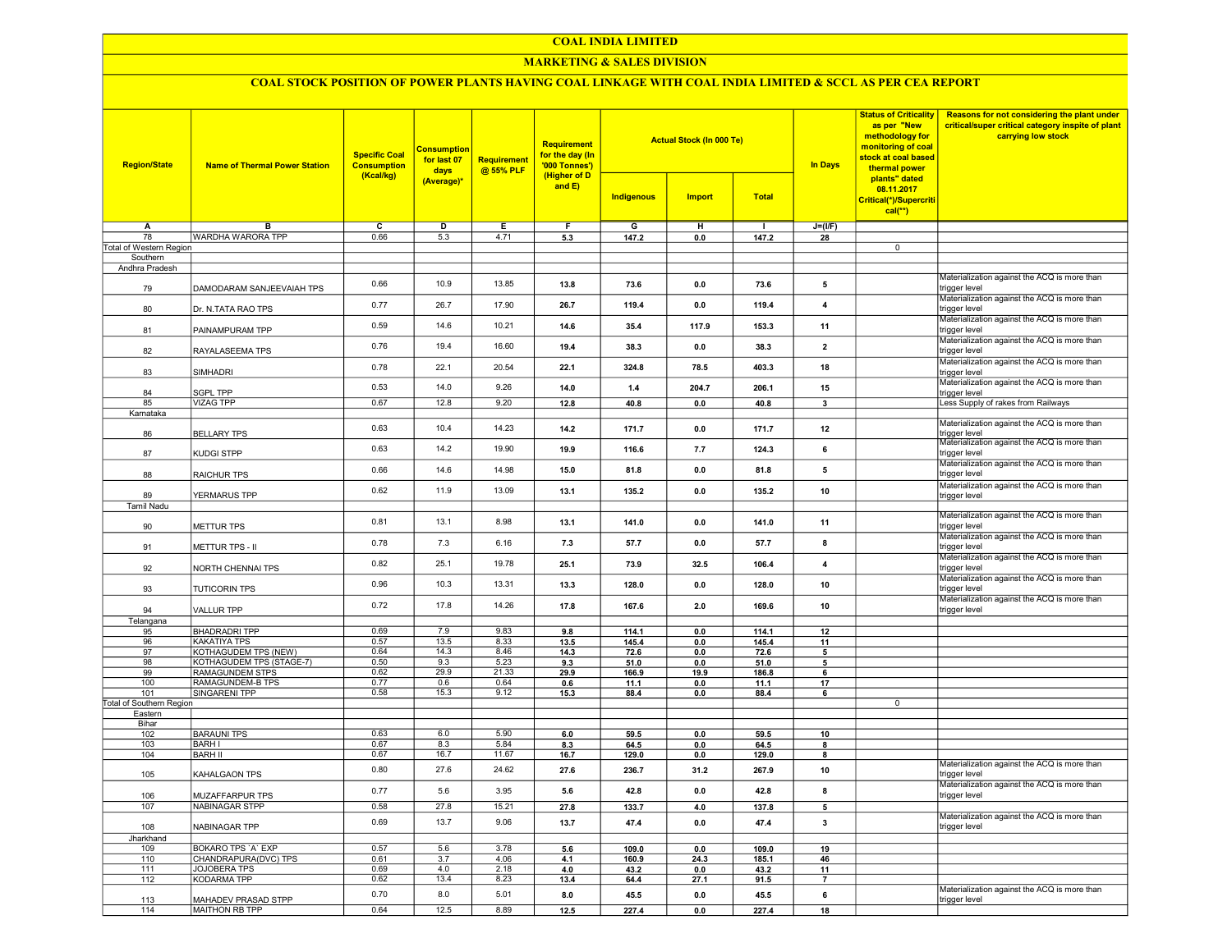#### COAL INDIA LIMITED

## **MARKETING & SALES DIVISION**

# COAL STOCK POSITION OF POWER PLANTS HAVING COAL LINKAGE WITH COAL INDIA LIMITED & SCCL AS PER CEA REPORT

| <b>Region/State</b>      | <b>Name of Thermal Power Station</b> | <b>Specific Coal</b><br><b>Consumption</b><br>(Kcal/kg) | <b>Consumption</b><br>for last 07<br>days<br>(Average)* | Requirement<br>@ 55% PLF | <b>Requirement</b><br>for the day (In<br>'000 Tonnes')<br>(Higher of D<br>and $E$ ) | <b>Indigenous</b> | <b>Actual Stock (In 000 Te)</b><br><b>Import</b> | <b>Total</b>   | <b>In Days</b>           | <b>Status of Criticality</b><br>as per "New<br>methodology for<br>monitoring of coal<br>stock at coal based<br>thermal power<br>plants" dated<br>08.11.2017<br>Critical(*)/Supercriti<br>$cal$ (**) | Reasons for not considering the plant under<br>critical/super critical category inspite of plant<br>carrying low stock |
|--------------------------|--------------------------------------|---------------------------------------------------------|---------------------------------------------------------|--------------------------|-------------------------------------------------------------------------------------|-------------------|--------------------------------------------------|----------------|--------------------------|-----------------------------------------------------------------------------------------------------------------------------------------------------------------------------------------------------|------------------------------------------------------------------------------------------------------------------------|
| Δ                        | в                                    | $\overline{c}$                                          | $\overline{D}$                                          | Ε                        | F                                                                                   | G                 | н                                                | $\blacksquare$ | $J=(VF)$                 |                                                                                                                                                                                                     |                                                                                                                        |
| 78                       | <b>WARDHA WARORA TPP</b>             | 0.66                                                    | 5.3                                                     | 4.71                     | 5.3                                                                                 | 147.2             | 0.0                                              | 147.2          | 28                       |                                                                                                                                                                                                     |                                                                                                                        |
| Total of Western Region  |                                      |                                                         |                                                         |                          |                                                                                     |                   |                                                  |                |                          | $\overline{0}$                                                                                                                                                                                      |                                                                                                                        |
| Southern                 |                                      |                                                         |                                                         |                          |                                                                                     |                   |                                                  |                |                          |                                                                                                                                                                                                     |                                                                                                                        |
| Andhra Pradesh           |                                      |                                                         |                                                         |                          |                                                                                     |                   |                                                  |                |                          |                                                                                                                                                                                                     |                                                                                                                        |
| 79                       | DAMODARAM SANJEEVAIAH TPS            | 0.66                                                    | 10.9                                                    | 13.85                    | 13.8                                                                                | 73.6              | 0.0                                              | 73.6           | 5                        |                                                                                                                                                                                                     | Materialization against the ACQ is more than<br>trigger level                                                          |
| 80                       | Dr. N.TATA RAO TPS                   | 0.77                                                    | 26.7                                                    | 17.90                    | 26.7                                                                                | 119.4             | 0.0                                              | 119.4          | $\overline{4}$           |                                                                                                                                                                                                     | Materialization against the ACQ is more than<br>trigger level                                                          |
| 81                       | PAINAMPURAM TPP                      | 0.59                                                    | 14.6                                                    | 10.21                    | 14.6                                                                                | 35.4              | 117.9                                            | 153.3          | 11                       |                                                                                                                                                                                                     | Materialization against the ACQ is more than<br>trigger level                                                          |
| 82                       | RAYALASEEMA TPS                      | 0.76                                                    | 19.4                                                    | 16.60                    | 19.4                                                                                | 38.3              | 0.0                                              | 38.3           | $\overline{\mathbf{2}}$  |                                                                                                                                                                                                     | Materialization against the ACQ is more than<br>trigger level<br>Materialization against the ACQ is more than          |
| 83                       | SIMHADRI                             | 0.78                                                    | 22.1                                                    | 20.54                    | 22.1                                                                                | 324.8             | 78.5                                             | 403.3          | 18                       |                                                                                                                                                                                                     | trigger level<br>Materialization against the ACQ is more than                                                          |
| 84                       | <b>SGPL TPP</b>                      | 0.53                                                    | 14.0                                                    | 9.26                     | 14.0                                                                                | 1.4               | 204.7                                            | 206.1          | 15                       |                                                                                                                                                                                                     | trigger level                                                                                                          |
| 85                       | <b>VIZAG TPP</b>                     | 0.67                                                    | 12.8                                                    | 9.20                     | 12.8                                                                                | 40.8              | 0.0                                              | 40.8           | 3                        |                                                                                                                                                                                                     | Less Supply of rakes from Railways                                                                                     |
| Karnataka                |                                      |                                                         |                                                         |                          |                                                                                     |                   |                                                  |                |                          |                                                                                                                                                                                                     |                                                                                                                        |
| 86                       | <b>BELLARY TPS</b>                   | 0.63                                                    | 10.4                                                    | 14.23                    | 14.2                                                                                | 171.7             | 0.0                                              | 171.7          | 12                       |                                                                                                                                                                                                     | Materialization against the ACQ is more than<br>trigger level                                                          |
| 87                       | <b>KUDGI STPP</b>                    | 0.63                                                    | 14.2                                                    | 19.90                    | 19.9                                                                                | 116.6             | 7.7                                              | 124.3          | 6                        |                                                                                                                                                                                                     | Materialization against the ACQ is more than<br>trigger level                                                          |
| 88                       | <b>RAICHUR TPS</b>                   | 0.66                                                    | 14.6                                                    | 14.98                    | 15.0                                                                                | 81.8              | 0.0                                              | 81.8           | 5                        |                                                                                                                                                                                                     | Materialization against the ACQ is more than<br>trigger level                                                          |
| 89<br>Tamil Nadu         | YERMARUS TPP                         | 0.62                                                    | 11.9                                                    | 13.09                    | 13.1                                                                                | 135.2             | 0.0                                              | 135.2          | 10                       |                                                                                                                                                                                                     | Materialization against the ACQ is more than<br>trigger level                                                          |
|                          |                                      |                                                         |                                                         |                          |                                                                                     |                   |                                                  |                |                          |                                                                                                                                                                                                     | Materialization against the ACQ is more than                                                                           |
| 90                       | <b>METTUR TPS</b>                    | 0.81                                                    | 13.1                                                    | 8.98                     | 13.1                                                                                | 141.0             | 0.0                                              | 141.0          | 11                       |                                                                                                                                                                                                     | trigger level                                                                                                          |
| 91                       | METTUR TPS - II                      | 0.78                                                    | 7.3                                                     | 6.16                     | 7.3                                                                                 | 57.7              | 0.0                                              | 57.7           | 8                        |                                                                                                                                                                                                     | Materialization against the ACQ is more than<br>trigger level                                                          |
| 92                       | NORTH CHENNAI TPS                    | 0.82                                                    | 25.1                                                    | 19.78                    | 25.1                                                                                | 739               | 32.5                                             | 106.4          | 4                        |                                                                                                                                                                                                     | Materialization against the ACQ is more than<br>trigger level                                                          |
| 93                       | <b>TUTICORIN TPS</b>                 | 0.96                                                    | 10.3                                                    | 13.31                    | 13.3                                                                                | 128.0             | 0.0                                              | 128.0          | 10                       |                                                                                                                                                                                                     | Materialization against the ACQ is more than<br>trigger level<br>Materialization against the ACQ is more than          |
| 94                       | <b>VALLUR TPP</b>                    | 0.72                                                    | 17.8                                                    | 14.26                    | 17.8                                                                                | 167.6             | 2.0                                              | 169.6          | 10                       |                                                                                                                                                                                                     | trigger level                                                                                                          |
| Telangana<br>95          | <b>BHADRADRI TPP</b>                 | 0.69                                                    | 7.9                                                     | 9.83                     | 9.8                                                                                 | 114.1             | 0.0                                              | 114.1          | 12                       |                                                                                                                                                                                                     |                                                                                                                        |
| 96                       | <b>KAKATIYA TPS</b>                  | 0.57                                                    | 13.5                                                    | 8.33                     | 13.5                                                                                | 145.4             | 0.0                                              | 145.4          | 11                       |                                                                                                                                                                                                     |                                                                                                                        |
| 97                       | KOTHAGUDEM TPS (NEW)                 | 0.64                                                    | 14.3                                                    | 8.46                     | 14.3                                                                                | 72.6              | 0.0                                              | 72.6           | $\overline{\phantom{a}}$ |                                                                                                                                                                                                     |                                                                                                                        |
| 98                       | KOTHAGUDEM TPS (STAGE-7)             | 0.50                                                    | 9.3                                                     | 5.23                     | 9.3                                                                                 | 51.0              | 0.0                                              | 51.0           | 5                        |                                                                                                                                                                                                     |                                                                                                                        |
| 99                       | <b>RAMAGUNDEM STPS</b>               | 0.62                                                    | 29.9                                                    | 21.33                    | 29.9                                                                                | 166.9             | 19.9                                             | 186.8          | 6                        |                                                                                                                                                                                                     |                                                                                                                        |
| 100                      | RAMAGUNDEM-B TPS                     | 0.77                                                    | 0.6                                                     | 0.64                     | 0.6                                                                                 | 11.1              | 0.0                                              | 11.1           | 17                       |                                                                                                                                                                                                     |                                                                                                                        |
| 101                      | <b>SINGARENI TPP</b>                 | 0.58                                                    | 15.3                                                    | 9.12                     | 15.3                                                                                | 88.4              | 0.0                                              | 88.4           | 6                        |                                                                                                                                                                                                     |                                                                                                                        |
| Total of Southern Region |                                      |                                                         |                                                         |                          |                                                                                     |                   |                                                  |                |                          | $\mathbf 0$                                                                                                                                                                                         |                                                                                                                        |
| Eastern                  |                                      |                                                         |                                                         |                          |                                                                                     |                   |                                                  |                |                          |                                                                                                                                                                                                     |                                                                                                                        |
| Bihar                    |                                      |                                                         |                                                         |                          |                                                                                     |                   |                                                  |                |                          |                                                                                                                                                                                                     |                                                                                                                        |
| 102                      | <b>BARAUNI TPS</b>                   | 0.63                                                    | 6.0                                                     | 5.90                     | 6.0                                                                                 | 59.5              | 0.0                                              | 59.5           | 10                       |                                                                                                                                                                                                     |                                                                                                                        |
| 103                      | <b>BARH I</b><br><b>BARH II</b>      | 0.67                                                    | 8.3                                                     | 5.84<br>11.67            | 8.3                                                                                 | 64.5              | 0.0                                              | 64.5           | 8                        |                                                                                                                                                                                                     |                                                                                                                        |
| 104<br>105               | KAHALGAON TPS                        | 0.67<br>0.80                                            | 16.7<br>27.6                                            | 24.62                    | 16.7<br>27.6                                                                        | 129.0<br>236.7    | 0.0<br>31.2                                      | 129.0<br>267.9 | 8<br>10                  |                                                                                                                                                                                                     | Materialization against the ACQ is more than<br>trigger level                                                          |
| 106                      | MUZAFFARPUR TPS                      | 0.77                                                    | 5.6                                                     | 3.95                     | 5.6                                                                                 | 42.8              | 0.0                                              | 42.8           | 8                        |                                                                                                                                                                                                     | Materialization against the ACQ is more than<br>trigger level                                                          |
| 107                      | <b>NABINAGAR STPP</b>                | 0.58                                                    | 27.8                                                    | 15.21                    | 27.8                                                                                | 133.7             | 4.0                                              | 137.8          | 5                        |                                                                                                                                                                                                     |                                                                                                                        |
| 108                      | NABINAGAR TPP                        | 0.69                                                    | 13.7                                                    | 9.06                     | 13.7                                                                                | 47.4              | 0.0                                              | 47.4           | $\mathbf{3}$             |                                                                                                                                                                                                     | Materialization against the ACQ is more than<br>trigger level                                                          |
| Jharkhand                |                                      |                                                         |                                                         |                          |                                                                                     |                   |                                                  |                |                          |                                                                                                                                                                                                     |                                                                                                                        |
| 109                      | BOKARO TPS 'A' EXP                   | 0.57                                                    | 5.6                                                     | 3.78                     | 5.6                                                                                 | 109.0             | 0.0                                              | 109.0          | 19                       |                                                                                                                                                                                                     |                                                                                                                        |
| 110                      | CHANDRAPURA(DVC) TPS                 | 0.61                                                    | 3.7                                                     | 4.06                     | 4.1                                                                                 | 160.9             | 24.3                                             | 185.1          | 46                       |                                                                                                                                                                                                     |                                                                                                                        |
| 111                      | <b>JOJOBERA TPS</b>                  | 0.69                                                    | 4.0                                                     | 2.18                     | 4.0                                                                                 | 43.2              | 0.0                                              | 43.2           | 11                       |                                                                                                                                                                                                     |                                                                                                                        |
| 112                      | <b>KODARMA TPP</b>                   | 0.62                                                    | 13.4                                                    | 8.23                     | 13.4                                                                                | 64.4              | 27.1                                             | 91.5           | $\overline{7}$           |                                                                                                                                                                                                     |                                                                                                                        |
| 113                      | MAHADEV PRASAD STPP                  | 0.70                                                    | 8.0                                                     | 5.01                     | 8.0                                                                                 | 45.5              | 0.0                                              | 45.5           | 6                        |                                                                                                                                                                                                     | Materialization against the ACQ is more than<br>trigger level                                                          |
| 114                      | MAITHON RB TPP                       | 0.64                                                    | 12.5                                                    | 8.89                     | 12.5                                                                                | 227.4             | 0.0                                              | 227.4          | 18                       |                                                                                                                                                                                                     |                                                                                                                        |